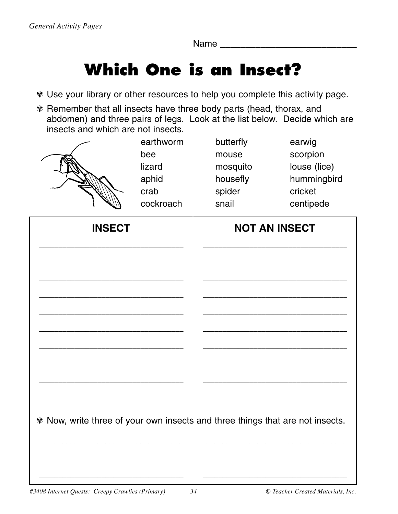Name

## **Which One is an Insect?**

- ✾ Use your library or other resources to help you complete this activity page.
- ✾ Remember that all insects have three body parts (head, thorax, and abdomen) and three pairs of legs. Look at the list below. Decide which are insects and which are not insects.



earthworm bee lizard aphid crab cockroach

butterfly mouse mosquito housefly spider snail

earwig scorpion louse (lice) hummingbird cricket centipede

| <b>INSECT</b>                                                                 | <b>NOT AN INSECT</b> |
|-------------------------------------------------------------------------------|----------------------|
|                                                                               |                      |
|                                                                               |                      |
|                                                                               |                      |
|                                                                               |                      |
|                                                                               |                      |
|                                                                               |                      |
|                                                                               |                      |
| * Now, write three of your own insects and three things that are not insects. |                      |
|                                                                               |                      |

\_\_\_\_\_\_\_\_\_\_\_\_\_\_\_\_\_\_\_\_\_\_\_\_\_\_\_\_\_\_\_\_\_\_\_\_\_

\_\_\_\_\_\_\_\_\_\_\_\_\_\_\_\_\_\_\_\_\_\_\_\_\_\_\_\_\_\_\_\_\_\_\_\_\_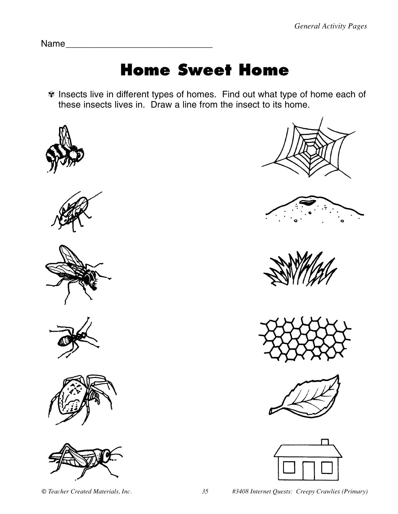Name

## **Home Sweet Home**

✾ Insects live in different types of homes. Find out what type of home each of these insects lives in. Draw a line from the insect to its home.























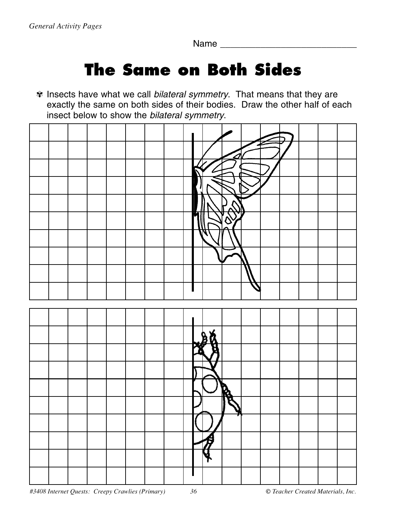Name \_\_\_\_\_\_\_\_\_\_\_\_\_\_\_\_\_\_\_\_\_\_\_\_\_\_\_

## **The Same on Both Sides**

✾ Insects have what we call *bilateral symmetry*. That means that they are exactly the same on both sides of their bodies. Draw the other half of each insect below to show the *bilateral symmetry*.